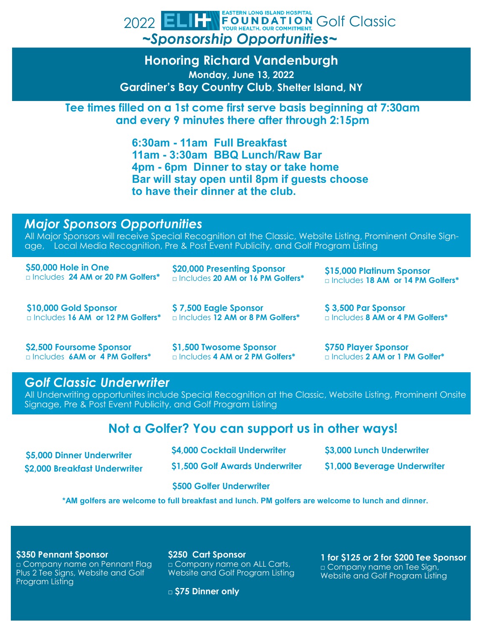### **EASTERN LONG ISLAND HOSPITAL** 2022 ELIFT FOUNDATION GOIF Classic *~Sponsorship Opportunities~*

**Honoring Richard Vandenburgh Monday, June 13, 2022 Gardiner's Bay Country Club**, **Shelter Island, NY**

**Tee times filled on a 1st come first serve basis beginning at 7:30am and every 9 minutes there after through 2:15pm** 

> **6:30am - 11am Full Breakfast 11am - 3:30am BBQ Lunch/Raw Bar 4pm - 6pm Dinner to stay or take home Bar will stay open until 8pm if guests choose to have their dinner at the club.**

## *Major Sponsors Opportunities*

All Major Sponsors will receive Special Recognition at the Classic, Website Listing, Prominent Onsite Signage, Local Media Recognition, Pre & Post Event Publicity, and Golf Program Listing

| \$50,000 Hole in One                             | \$20,000 Presenting Sponsor                     | \$15,000 Platinum Sponsor                    |
|--------------------------------------------------|-------------------------------------------------|----------------------------------------------|
| <b>Includes 24 AM or 20 PM Golfers*</b>          | Includes 20 AM or 16 PM Golfers*                | □ Includes 18 AM or 14 PM Golfers*           |
| \$10,000 Gold Sponsor                            | \$7,500 Eagle Sponsor                           | \$3,500 Par Sponsor                          |
| <b>Designal Includes 16 AM or 12 PM Golfers*</b> | <b>Designal Includes 12 AM or 8 PM Golfers*</b> | □ Includes 8 AM or 4 PM Golfers <sup>*</sup> |

**\$2,500 Foursome Sponsor**  □ Includes **6AM or 4 PM Golfers\*** **\$1,500 Twosome Sponsor**  □ Includes **4 AM or 2 PM Golfers\*** **\$750 Player Sponsor**  □ Includes **2 AM or 1 PM Golfer\***

# *Golf Classic Underwriter*

All Underwriting opportunites include Special Recognition at the Classic, Website Listing, Prominent Onsite Signage, Pre & Post Event Publicity, and Golf Program Listing

# **Not a Golfer? You can support us in other ways!**

| \$5,000 Dinner Underwriter    | \$4,000 Cocktail Underwriter    | \$3,000 Lunch Underwriter    |  |
|-------------------------------|---------------------------------|------------------------------|--|
| \$2,000 Breakfast Underwriter | \$1,500 Golf Awards Underwriter | \$1,000 Beverage Underwriter |  |
|                               | <b>S500 Golfer Underwriter</b>  |                              |  |

**\*AM golfers are welcome to full breakfast and lunch. PM golfers are welcome to lunch and dinner.**

#### **\$350 Pennant Sponsor**

□ Company name on Pennant Flag Plus 2 Tee Signs, Website and Golf Program Listing

**\$250 Cart Sponsor** □ Company name on ALL Carts,

Website and Golf Program Listing

**1 for \$125 or 2 for \$200 Tee Sponsor**  □ Company name on Tee Sign, Website and Golf Program Listing

□ **\$75 Dinner only**